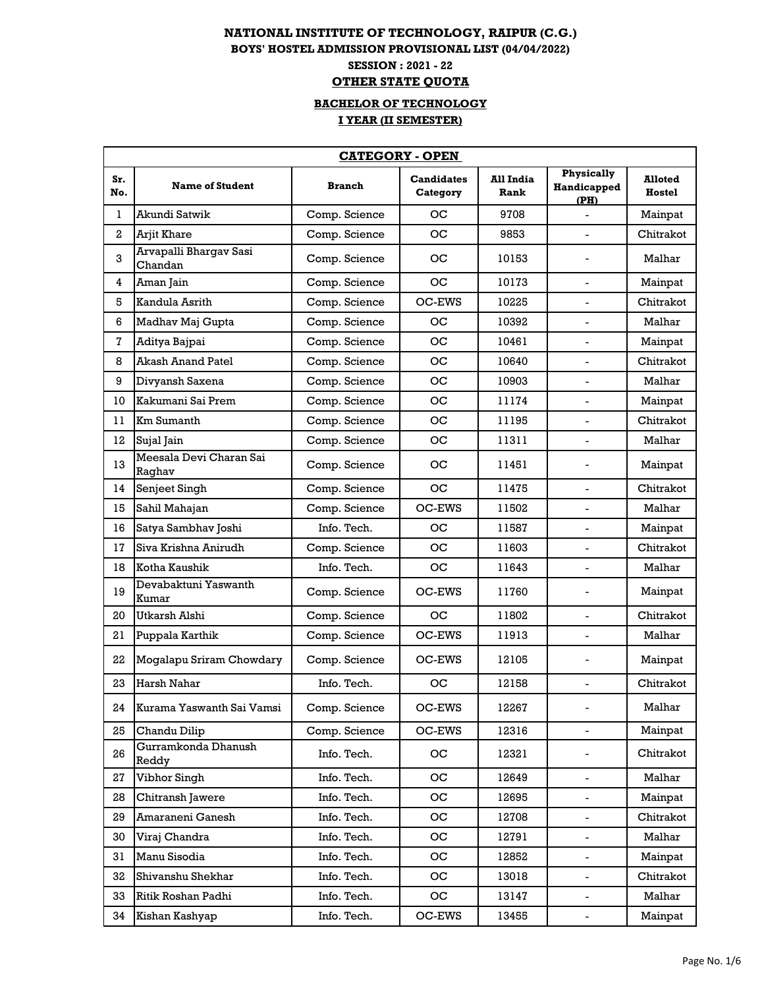## **NATIONAL INSTITUTE OF TECHNOLOGY, RAIPUR (C.G.) BOYS' HOSTEL ADMISSION PROVISIONAL LIST (04/04/2022) SESSION : 2021 - 22 OTHER STATE QUOTA**

## **I YEAR (II SEMESTER) BACHELOR OF TECHNOLOGY**

|              | <b>CATEGORY - OPEN</b>            |               |                               |                   |                                          |                          |  |  |
|--------------|-----------------------------------|---------------|-------------------------------|-------------------|------------------------------------------|--------------------------|--|--|
| Sr.<br>No.   | <b>Name of Student</b>            | <b>Branch</b> | <b>Candidates</b><br>Category | All India<br>Rank | <b>Physically</b><br>Handicapped<br>(PH) | <b>Alloted</b><br>Hostel |  |  |
| 1            | Akundi Satwik                     | Comp. Science | <b>OC</b>                     | 9708              | $\overline{a}$                           | Mainpat                  |  |  |
| $\mathbf{2}$ | Arjit Khare                       | Comp. Science | <b>OC</b>                     | 9853              |                                          | Chitrakot                |  |  |
| 3            | Arvapalli Bhargav Sasi<br>Chandan | Comp. Science | oс                            | 10153             |                                          | Malhar                   |  |  |
| 4            | Aman Jain                         | Comp. Science | <b>OC</b>                     | 10173             | $\blacksquare$                           | Mainpat                  |  |  |
| 5            | Kandula Asrith                    | Comp. Science | OC-EWS                        | 10225             |                                          | Chitrakot                |  |  |
| 6            | Madhav Maj Gupta                  | Comp. Science | <b>OC</b>                     | 10392             | $\mathbf{r}$                             | Malhar                   |  |  |
| 7            | Aditya Bajpai                     | Comp. Science | OС                            | 10461             |                                          | Mainpat                  |  |  |
| 8            | <b>Akash Anand Patel</b>          | Comp. Science | <b>OC</b>                     | 10640             |                                          | Chitrakot                |  |  |
| 9            | Divyansh Saxena                   | Comp. Science | <b>OC</b>                     | 10903             |                                          | Malhar                   |  |  |
| 10           | Kakumani Sai Prem                 | Comp. Science | <b>OC</b>                     | 11174             | $\blacksquare$                           | Mainpat                  |  |  |
| 11           | Km Sumanth                        | Comp. Science | <b>OC</b>                     | 11195             |                                          | Chitrakot                |  |  |
| 12           | Sujal Jain                        | Comp. Science | <b>OC</b>                     | 11311             | $\blacksquare$                           | Malhar                   |  |  |
| 13           | Meesala Devi Charan Sai<br>Raghav | Comp. Science | oс                            | 11451             |                                          | Mainpat                  |  |  |
| 14           | Senjeet Singh                     | Comp. Science | OC                            | 11475             |                                          | Chitrakot                |  |  |
| 15           | Sahil Mahajan                     | Comp. Science | OC-EWS                        | 11502             | $\blacksquare$                           | Malhar                   |  |  |
| 16           | Satya Sambhav Joshi               | Info. Tech.   | OС                            | 11587             | $\overline{a}$                           | Mainpat                  |  |  |
| 17           | Siva Krishna Anirudh              | Comp. Science | <b>OC</b>                     | 11603             |                                          | Chitrakot                |  |  |
| 18           | Kotha Kaushik                     | Info. Tech.   | <b>OC</b>                     | 11643             | $\blacksquare$                           | Malhar                   |  |  |
| 19           | Devabaktuni Yaswanth<br>Kumar     | Comp. Science | OC-EWS                        | 11760             |                                          | Mainpat                  |  |  |
| 20           | Utkarsh Alshi                     | Comp. Science | <b>OC</b>                     | 11802             |                                          | Chitrakot                |  |  |
| 21           | Puppala Karthik                   | Comp. Science | OC-EWS                        | 11913             | $\sim$                                   | Malhar                   |  |  |
| 22           | Mogalapu Sriram Chowdary          | Comp. Science | OC-EWS                        | 12105             |                                          | Mainpat                  |  |  |
| 23           | Harsh Nahar                       | Info. Tech.   | OС                            | 12158             | $\overline{a}$                           | Chitrakot                |  |  |
| 24           | Kurama Yaswanth Sai Vamsi         | Comp. Science | OC-EWS                        | 12267             | $\blacksquare$                           | Malhar                   |  |  |
| 25           | Chandu Dilip                      | Comp. Science | OC-EWS                        | 12316             | $\overline{\phantom{0}}$                 | Mainpat                  |  |  |
| 26           | Gurramkonda Dhanush<br>Reddy      | Info. Tech.   | OC                            | 12321             | $\qquad \qquad \blacksquare$             | Chitrakot                |  |  |
| 27           | Vibhor Singh                      | Info. Tech.   | OC                            | 12649             | $\overline{\phantom{a}}$                 | Malhar                   |  |  |
| 28           | Chitransh Jawere                  | Info. Tech.   | OC.                           | 12695             | $\blacksquare$                           | Mainpat                  |  |  |
| 29           | Amaraneni Ganesh                  | Info. Tech.   | OС                            | 12708             | $\overline{\phantom{0}}$                 | Chitrakot                |  |  |
| 30           | Viraj Chandra                     | Info. Tech.   | OC                            | 12791             | $\blacksquare$                           | Malhar                   |  |  |
| 31           | Manu Sisodia                      | Info. Tech.   | OC                            | 12852             |                                          | Mainpat                  |  |  |
| 32           | Shivanshu Shekhar                 | Info. Tech.   | OC.                           | 13018             | $\overline{a}$                           | Chitrakot                |  |  |
| 33           | Ritik Roshan Padhi                | Info. Tech.   | OС                            | 13147             | $\blacksquare$                           | Malhar                   |  |  |
| 34           | Kishan Kashyap                    | Info. Tech.   | OC-EWS                        | 13455             | $\blacksquare$                           | Mainpat                  |  |  |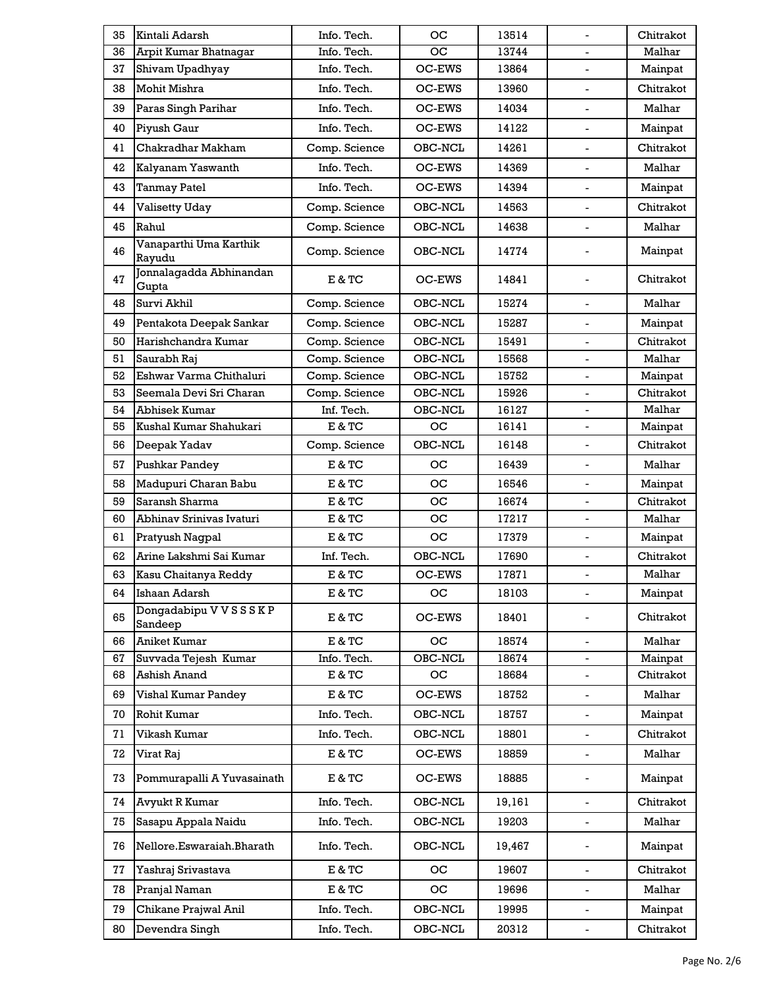| 35 | Kintali Adarsh                       | Info. Tech.   | oс           | 13514  |                              | Chitrakot |
|----|--------------------------------------|---------------|--------------|--------|------------------------------|-----------|
| 36 | <b>Arpit Kumar Bhatnagar</b>         | Info. Tech.   | OС           | 13744  | $\blacksquare$               | Malhar    |
| 37 | Shivam Upadhyay                      | Info. Tech.   | OC-EWS       | 13864  |                              | Mainpat   |
| 38 | Mohit Mishra                         | Info. Tech.   | OC-EWS       | 13960  | $\blacksquare$               | Chitrakot |
| 39 | Paras Singh Parihar                  | Info. Tech.   | OC-EWS       | 14034  |                              | Malhar    |
| 40 | Piyush Gaur                          | Info. Tech.   | OC-EWS       | 14122  | $\overline{a}$               | Mainpat   |
| 41 | Chakradhar Makham                    | Comp. Science | OBC-NCL      | 14261  | $\blacksquare$               | Chitrakot |
| 42 | Kalyanam Yaswanth                    | Info. Tech.   | OC-EWS       | 14369  |                              | Malhar    |
| 43 | <b>Tanmay Patel</b>                  | Info. Tech.   | OC-EWS       | 14394  | $\blacksquare$               | Mainpat   |
| 44 | Valisetty Uday                       | Comp. Science | OBC-NCL      | 14563  | $\mathbf{r}$                 | Chitrakot |
| 45 | Rahul                                | Comp. Science | OBC-NCL      | 14638  |                              | Malhar    |
| 46 | Vanaparthi Uma Karthik<br>Rayudu     | Comp. Science | OBC-NCL      | 14774  | $\overline{a}$               | Mainpat   |
| 47 | Jonnalagadda Abhinandan<br>Gupta     | E & TC        | OC-EWS       | 14841  | $\blacksquare$               | Chitrakot |
| 48 | Survi Akhil                          | Comp. Science | OBC-NCL      | 15274  | $\blacksquare$               | Malhar    |
| 49 | Pentakota Deepak Sankar              | Comp. Science | OBC-NCL      | 15287  | $\mathbf{r}$                 | Mainpat   |
| 50 | Harishchandra Kumar                  | Comp. Science | OBC-NCL      | 15491  |                              | Chitrakot |
| 51 | Saurabh Raj                          | Comp. Science | OBC-NCL      | 15568  | $\blacksquare$               | Malhar    |
| 52 | Eshwar Varma Chithaluri              | Comp. Science | OBC-NCL      | 15752  |                              | Mainpat   |
| 53 | Seemala Devi Sri Charan              | Comp. Science | $\,$ OBC-NCL | 15926  |                              | Chitrakot |
| 54 | Abhisek Kumar                        | Inf. Tech.    | OBC-NCL      | 16127  |                              | Malhar    |
| 55 | Kushal Kumar Shahukari               | E & TC        | <b>OC</b>    | 16141  | $\overline{a}$               | Mainpat   |
| 56 | Deepak Yadav                         | Comp. Science | OBC-NCL      | 16148  | $\overline{a}$               | Chitrakot |
| 57 | Pushkar Pandey                       | $E & T$ C     | OС           | 16439  | $\overline{\phantom{0}}$     | Malhar    |
| 58 | Madupuri Charan Babu                 | E & TC        | <b>OC</b>    | 16546  | $\overline{a}$               | Mainpat   |
| 59 | Saransh Sharma                       | E & TC        | ос           | 16674  | $\blacksquare$               | Chitrakot |
| 60 | Abhinav Srinivas Ivaturi             | E & TC        | oс           | 17217  | $\blacksquare$               | Malhar    |
| 61 | Pratyush Nagpal                      | E & TC        | oс           | 17379  | $\blacksquare$               | Mainpat   |
| 62 | Arine Lakshmi Sai Kumar              | Inf. Tech.    | OBC-NCL      | 17690  |                              | Chitrakot |
| 63 | Kasu Chaitanya Reddy                 | E & TC        | OC-EWS       | 17871  | $\blacksquare$               | Malhar    |
| 64 | Ishaan Adarsh                        | E & TC        | OС           | 18103  |                              | Mainpat   |
| 65 | Dongadabipu V V S S S K P<br>Sandeep | E & TC        | OC-EWS       | 18401  |                              | Chitrakot |
| 66 | Aniket Kumar                         | E & TC        | $_{\rm OC}$  | 18574  | $\overline{\phantom{0}}$     | Malhar    |
| 67 | Suvvada Tejesh Kumar                 | Info. Tech.   | OBC-NCL      | 18674  | $\overline{\phantom{a}}$     | Mainpat   |
| 68 | Ashish Anand                         | $E & T$ C     | OС           | 18684  |                              | Chitrakot |
| 69 | Vishal Kumar Pandey                  | E & TC        | OC-EWS       | 18752  | $\blacksquare$               | Malhar    |
| 70 | Rohit Kumar                          | Info. Tech.   | OBC-NCL      | 18757  |                              | Mainpat   |
| 71 | Vikash Kumar                         | Info. Tech.   | OBC-NCL      | 18801  |                              | Chitrakot |
| 72 | Virat Raj                            | E & TC        | OC-EWS       | 18859  | $\blacksquare$               | Malhar    |
| 73 | Pommurapalli A Yuvasainath           | E & TC        | OC-EWS       | 18885  | $\qquad \qquad \blacksquare$ | Mainpat   |
| 74 | Avyukt R Kumar                       | Info. Tech.   | OBC-NCL      | 19,161 | $\overline{a}$               | Chitrakot |
| 75 | Sasapu Appala Naidu                  | Info. Tech.   | OBC-NCL      | 19203  | $\overline{\phantom{a}}$     | Malhar    |
| 76 | Nellore.Eswaraiah.Bharath            | Info. Tech.   | OBC-NCL      | 19,467 | $\overline{\phantom{a}}$     | Mainpat   |
| 77 | Yashraj Srivastava                   | E & TC        | <b>OC</b>    | 19607  | $\overline{a}$               | Chitrakot |
| 78 | Pranjal Naman                        | E & TC        | OС           | 19696  | $\blacksquare$               | Malhar    |
| 79 | Chikane Prajwal Anil                 | Info. Tech.   | OBC-NCL      | 19995  | $\overline{\phantom{a}}$     | Mainpat   |
| 80 | Devendra Singh                       | Info. Tech.   | OBC-NCL      | 20312  |                              | Chitrakot |
|    |                                      |               |              |        |                              |           |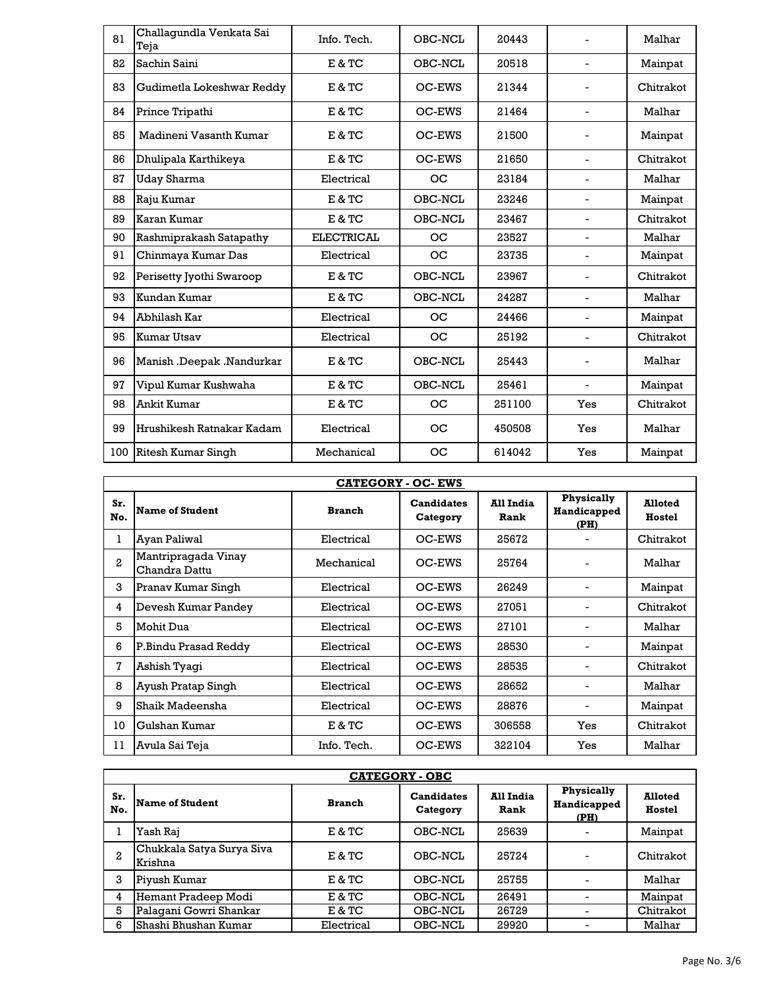| 81  | Challagundla Venkata Sai<br>Teja | Info. Tech.       | OBC-NCL | 20443  |                          | Malhar    |
|-----|----------------------------------|-------------------|---------|--------|--------------------------|-----------|
| 82  | Sachin Saini                     | E & TC            | OBC-NCL | 20518  | $\blacksquare$           | Mainpat   |
| 83  | Gudimetla Lokeshwar Reddy        | E & TC            | OC-EWS  | 21344  |                          | Chitrakot |
| 84  | Prince Tripathi                  | E & TC            | OC-EWS  | 21464  | $\overline{a}$           | Malhar    |
| 85  | Madineni Vasanth Kumar           | E & TC            | OC-EWS  | 21500  |                          | Mainpat   |
| 86  | Dhulipala Karthikeya             | E & TC            | OC-EWS  | 21650  | $\overline{a}$           | Chitrakot |
| 87  | Uday Sharma                      | Electrical        | OC      | 23184  | $\overline{a}$           | Malhar    |
| 88  | Raju Kumar                       | E & TC            | OBC-NCL | 23246  | $\overline{a}$           | Mainpat   |
| 89  | Karan Kumar                      | E & TC            | OBC-NCL | 23467  | $\overline{\phantom{0}}$ | Chitrakot |
| 90  | Rashmiprakash Satapathy          | <b>ELECTRICAL</b> | OC      | 23527  | $\overline{a}$           | Malhar    |
| 91  | Chinmaya Kumar Das               | Electrical        | OC      | 23735  | $\overline{a}$           | Mainpat   |
| 92  | Perisetty Jyothi Swaroop         | E & TC            | OBC-NCL | 23967  | $\overline{a}$           | Chitrakot |
| 93  | Kundan Kumar                     | E & TC            | OBC-NCL | 24287  | $\overline{\phantom{0}}$ | Malhar    |
| 94  | Abhilash Kar                     | Electrical        | OC      | 24466  |                          | Mainpat   |
| 95  | <b>Kumar Utsav</b>               | Electrical        | OС      | 25192  | $\overline{\phantom{0}}$ | Chitrakot |
| 96  | Manish .Deepak .Nandurkar        | E & TC            | OBC-NCL | 25443  |                          | Malhar    |
| 97  | Vipul Kumar Kushwaha             | E & TC            | OBC-NCL | 25461  | $\overline{a}$           | Mainpat   |
| 98  | Ankit Kumar                      | E & TC            | OС      | 251100 | Yes                      | Chitrakot |
| 99  | Hrushikesh Ratnakar Kadam        | Electrical        | OС      | 450508 | Yes                      | Malhar    |
| 100 | Ritesh Kumar Singh               | Mechanical        | OC      | 614042 | Yes                      | Mainpat   |

| <b>CATEGORY - OC- EWS</b> |                                      |               |                               |                   |                                   |                          |  |  |
|---------------------------|--------------------------------------|---------------|-------------------------------|-------------------|-----------------------------------|--------------------------|--|--|
| Sr.<br>No.                | <b>Name of Student</b>               | <b>Branch</b> | <b>Candidates</b><br>Category | All India<br>Rank | Physically<br>Handicapped<br>(PH) | <b>Alloted</b><br>Hostel |  |  |
| Ŧ.                        | Ayan Paliwal                         | Electrical    | OC-EWS                        | 25672             |                                   | Chitrakot                |  |  |
| 2                         | Mantripragada Vinay<br>Chandra Dattu | Mechanical    | OC-EWS                        | 25764             |                                   | Malhar                   |  |  |
| 3                         | Pranav Kumar Singh                   | Electrical    | OC-EWS                        | 26249             |                                   | Mainpat                  |  |  |
| 4                         | Devesh Kumar Pandey                  | Electrical    | OC-EWS                        | 27051             |                                   | Chitrakot                |  |  |
| 5                         | Mohit Dua                            | Electrical    | OC-EWS                        | 27101             |                                   | Malhar                   |  |  |
| 6                         | P.Bindu Prasad Reddy                 | Electrical    | OC-EWS                        | 28530             |                                   | Mainpat                  |  |  |
| 7                         | Ashish Tyagi                         | Electrical    | OC-EWS                        | 28535             |                                   | Chitrakot                |  |  |
| 8                         | Ayush Pratap Singh                   | Electrical    | OC-EWS                        | 28652             |                                   | Malhar                   |  |  |
| 9                         | Shaik Madeensha                      | Electrical    | OC-EWS                        | 28876             |                                   | Mainpat                  |  |  |
| 10                        | Gulshan Kumar                        | E & TC        | OC-EWS                        | 306558            | Yes                               | Chitrakot                |  |  |
| 11                        | Avula Sai Teja                       | Info. Tech.   | OC-EWS                        | 322104            | Yes                               | Malhar                   |  |  |

|              | <b>CATEGORY - OBC</b>                |               |                               |                   |                                   |                          |  |  |  |
|--------------|--------------------------------------|---------------|-------------------------------|-------------------|-----------------------------------|--------------------------|--|--|--|
| Sr.<br>No.   | <b>Name of Student</b>               | <b>Branch</b> | <b>Candidates</b><br>Category | All India<br>Rank | Physically<br>Handicapped<br>(PH) | <b>Alloted</b><br>Hostel |  |  |  |
|              | Yash Raj                             | E & TC        | OBC-NCL                       | 25639             |                                   | Mainpat                  |  |  |  |
| $\mathbf{2}$ | Chukkala Satya Surya Siva<br>Krishna | E & TC        | OBC-NCL                       | 25724             |                                   | Chitrakot                |  |  |  |
| 3            | Piyush Kumar                         | E & TC        | OBC-NCL                       | 25755             |                                   | Malhar                   |  |  |  |
| 4            | Hemant Pradeep Modi                  | E & TC        | OBC-NCL                       | 26491             |                                   | Mainpat                  |  |  |  |
| 5            | Palagani Gowri Shankar               | E & TC        | OBC-NCL                       | 26729             |                                   | Chitrakot                |  |  |  |
| 6            | Shashi Bhushan Kumar                 | Electrical    | OBC-NCL                       | 29920             |                                   | Malhar                   |  |  |  |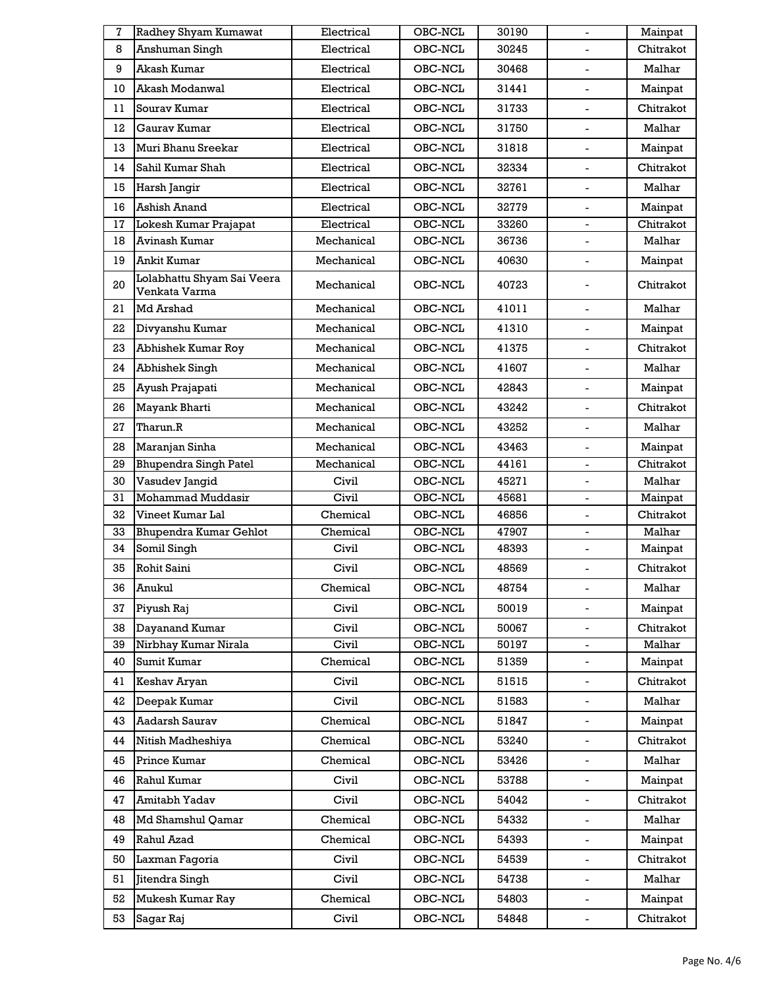| 7  | Radhey Shyam Kumawat                        | Electrical | OBC-NCL | 30190 | $\blacksquare$           | Mainpat   |
|----|---------------------------------------------|------------|---------|-------|--------------------------|-----------|
| 8  | Anshuman Singh                              | Electrical | OBC-NCL | 30245 |                          | Chitrakot |
| 9  | Akash Kumar                                 | Electrical | OBC-NCL | 30468 | $\overline{a}$           | Malhar    |
| 10 | Akash Modanwal                              | Electrical | OBC-NCL | 31441 | $\overline{a}$           | Mainpat   |
| 11 | Souray Kumar                                | Electrical | OBC-NCL | 31733 | $\blacksquare$           | Chitrakot |
| 12 | Gauray Kumar                                | Electrical | OBC-NCL | 31750 | $\overline{a}$           | Malhar    |
| 13 | Muri Bhanu Sreekar                          | Electrical | OBC-NCL | 31818 | $\overline{a}$           | Mainpat   |
| 14 | Sahil Kumar Shah                            | Electrical | OBC-NCL | 32334 |                          | Chitrakot |
| 15 | Harsh Jangir                                | Electrical | OBC-NCL | 32761 | $\blacksquare$           | Malhar    |
| 16 | Ashish Anand                                | Electrical | OBC-NCL | 32779 | $\overline{a}$           | Mainpat   |
| 17 | Lokesh Kumar Prajapat                       | Electrical | OBC-NCL | 33260 | $\blacksquare$           | Chitrakot |
| 18 | Avinash Kumar                               | Mechanical | OBC-NCL | 36736 | $\overline{a}$           | Malhar    |
| 19 | <b>Ankit Kumar</b>                          | Mechanical | OBC-NCL | 40630 | $\overline{a}$           | Mainpat   |
| 20 | Lolabhattu Shyam Sai Veera<br>Venkata Varma | Mechanical | OBC-NCL | 40723 |                          | Chitrakot |
| 21 | <b>Md Arshad</b>                            | Mechanical | OBC-NCL | 41011 |                          | Malhar    |
| 22 | Divyanshu Kumar                             | Mechanical | OBC-NCL | 41310 | $\overline{a}$           | Mainpat   |
| 23 | Abhishek Kumar Roy                          | Mechanical | OBC-NCL | 41375 | $\overline{a}$           | Chitrakot |
| 24 | Abhishek Singh                              | Mechanical | OBC-NCL | 41607 | $\overline{a}$           | Malhar    |
| 25 | Ayush Prajapati                             | Mechanical | OBC-NCL | 42843 | $\overline{a}$           | Mainpat   |
| 26 | Mayank Bharti                               | Mechanical | OBC-NCL | 43242 | $\overline{a}$           | Chitrakot |
| 27 | Tharun.R                                    | Mechanical | OBC-NCL | 43252 | $\overline{\phantom{0}}$ | Malhar    |
| 28 | Maranjan Sinha                              | Mechanical | OBC-NCL | 43463 | $\blacksquare$           | Mainpat   |
| 29 | <b>Bhupendra Singh Patel</b>                | Mechanical | OBC-NCL | 44161 | $\overline{a}$           | Chitrakot |
| 30 | Vasudev Jangid                              | Civil      | OBC-NCL | 45271 |                          | Malhar    |
| 31 | Mohammad Muddasir                           | Civil      | OBC-NCL | 45681 |                          | Mainpat   |
| 32 | Vineet Kumar Lal                            | Chemical   | OBC-NCL | 46856 | $\overline{\phantom{0}}$ | Chitrakot |
| 33 | Bhupendra Kumar Gehlot                      | Chemical   | OBC-NCL | 47907 | $\blacksquare$           | Malhar    |
| 34 | Somil Singh                                 | Civil      | OBC-NCL | 48393 |                          | Mainpat   |
| 35 | Rohit Saini                                 | Civil      | OBC-NCL | 48569 | $\blacksquare$           | Chitrakot |
| 36 | Anukul                                      | Chemical   | OBC-NCL | 48754 | $\overline{\phantom{0}}$ | Malhar    |
| 37 | Piyush Raj                                  | Civil      | OBC-NCL | 50019 |                          | Mainpat   |
| 38 | Dayanand Kumar                              | Civil      | OBC-NCL | 50067 | $\overline{a}$           | Chitrakot |
| 39 | Nirbhay Kumar Nirala                        | Civil      | OBC-NCL | 50197 |                          | Malhar    |
| 40 | Sumit Kumar                                 | Chemical   | OBC-NCL | 51359 |                          | Mainpat   |
| 41 | Keshav Aryan                                | Civil      | OBC-NCL | 51515 | $\blacksquare$           | Chitrakot |
| 42 | Deepak Kumar                                | Civil      | OBC-NCL | 51583 | $\overline{\phantom{0}}$ | Malhar    |
| 43 | Aadarsh Saurav                              | Chemical   | OBC-NCL | 51847 |                          | Mainpat   |
| 44 | Nitish Madheshiya                           | Chemical   | OBC-NCL | 53240 | $\blacksquare$           | Chitrakot |
| 45 | Prince Kumar                                | Chemical   | OBC-NCL | 53426 |                          | Malhar    |
| 46 | Rahul Kumar                                 | Civil      | OBC-NCL | 53788 |                          | Mainpat   |
| 47 | Amitabh Yadav                               | Civil      | OBC-NCL | 54042 | $\blacksquare$           | Chitrakot |
| 48 | Md Shamshul Qamar                           | Chemical   | OBC-NCL | 54332 | $\overline{\phantom{a}}$ | Malhar    |
| 49 | Rahul Azad                                  | Chemical   | OBC-NCL | 54393 | $\overline{\phantom{0}}$ | Mainpat   |
| 50 | Laxman Fagoria                              | Civil      | OBC-NCL | 54539 | $\blacksquare$           | Chitrakot |
| 51 | Jitendra Singh                              | Civil      | OBC-NCL | 54738 | $\blacksquare$           | Malhar    |
| 52 | Mukesh Kumar Ray                            | Chemical   | OBC-NCL | 54803 |                          | Mainpat   |
| 53 | Sagar Raj                                   | Civil      | OBC-NCL | 54848 |                          | Chitrakot |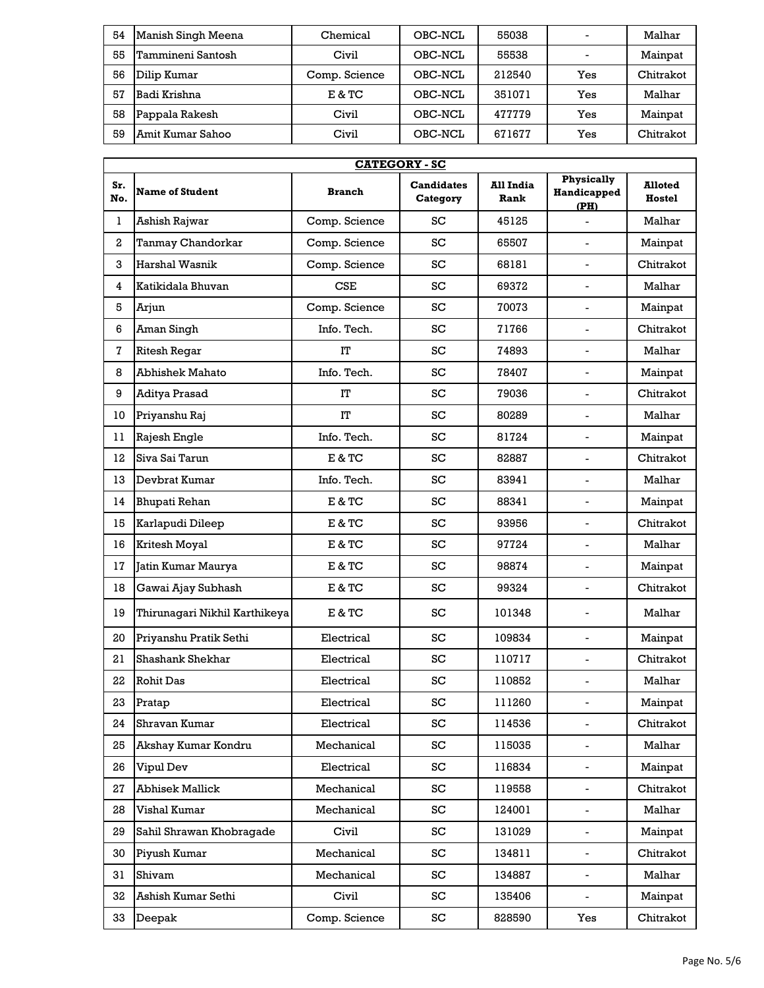| 54 | Manish Singh Meena | Chemical      | OBC-NCL | 55038  | -                        | Malhar    |
|----|--------------------|---------------|---------|--------|--------------------------|-----------|
| 55 | Tammineni Santosh  | Civil         | OBC-NCL | 55538  | $\overline{\phantom{0}}$ | Mainpat   |
| 56 | Dilip Kumar        | Comp. Science | OBC-NCL | 212540 | Yes                      | Chitrakot |
| 57 | Badi Krishna       | E & TC        | OBC-NCL | 351071 | Yes                      | Malhar    |
| 58 | Pappala Rakesh     | Civil         | OBC-NCL | 477779 | Yes                      | Mainpat   |
| 59 | Amit Kumar Sahoo   | Civil         | OBC-NCL | 671677 | Yes                      | Chitrakot |

|                  | <b>CATEGORY - SC</b>          |               |                               |                          |                                          |                          |  |  |
|------------------|-------------------------------|---------------|-------------------------------|--------------------------|------------------------------------------|--------------------------|--|--|
| Sr.<br>No.       | <b>Name of Student</b>        | <b>Branch</b> | <b>Candidates</b><br>Category | <b>All India</b><br>Rank | <b>Physically</b><br>Handicapped<br>(PH) | <b>Alloted</b><br>Hostel |  |  |
| 1                | Ashish Rajwar                 | Comp. Science | SC                            | 45125                    | $\blacksquare$                           | Malhar                   |  |  |
| $\boldsymbol{2}$ | Tanmay Chandorkar             | Comp. Science | SC                            | 65507                    | $\overline{a}$                           | Mainpat                  |  |  |
| 3                | <b>Harshal Wasnik</b>         | Comp. Science | SC                            | 68181                    | $\overline{a}$                           | Chitrakot                |  |  |
| 4                | Katikidala Bhuvan             | <b>CSE</b>    | SC                            | 69372                    | $\overline{a}$                           | Malhar                   |  |  |
| 5                | Arjun                         | Comp. Science | SC                            | 70073                    | $\blacksquare$                           | Mainpat                  |  |  |
| 6                | Aman Singh                    | Info. Tech.   | SC                            | 71766                    | $\overline{a}$                           | Chitrakot                |  |  |
| 7                | <b>Ritesh Regar</b>           | IT            | SC                            | 74893                    | $\overline{\phantom{0}}$                 | Malhar                   |  |  |
| 8                | <b>Abhishek Mahato</b>        | Info. Tech.   | SC                            | 78407                    | $\overline{\phantom{0}}$                 | Mainpat                  |  |  |
| 9                | <b>Aditya Prasad</b>          | IT            | SC                            | 79036                    | $\overline{\phantom{0}}$                 | Chitrakot                |  |  |
| 10               | Priyanshu Raj                 | IT            | SC                            | 80289                    | $\overline{a}$                           | Malhar                   |  |  |
| 11               | Rajesh Engle                  | Info. Tech.   | SC                            | 81724                    | $\overline{a}$                           | Mainpat                  |  |  |
| 12               | Siva Sai Tarun                | E & TC        | SC                            | 82887                    | $\overline{a}$                           | Chitrakot                |  |  |
| 13               | Devbrat Kumar                 | Info. Tech.   | SC                            | 83941                    | $\overline{a}$                           | Malhar                   |  |  |
| 14               | Bhupati Rehan                 | E & TC        | SC                            | 88341                    | $\overline{a}$                           | Mainpat                  |  |  |
| 15               | Karlapudi Dileep              | E & TC        | SC                            | 93956                    | $\overline{a}$                           | Chitrakot                |  |  |
| 16               | Kritesh Moyal                 | E & TC        | SC                            | 97724                    | $\overline{\phantom{0}}$                 | Malhar                   |  |  |
| 17               | Jatin Kumar Maurya            | E & TC        | SC                            | 98874                    | $\overline{\phantom{0}}$                 | Mainpat                  |  |  |
| 18               | Gawai Ajay Subhash            | E & TC        | SC                            | 99324                    | $\overline{a}$                           | Chitrakot                |  |  |
| 19               | Thirunagari Nikhil Karthikeya | E & TC        | SC                            | 101348                   | -                                        | Malhar                   |  |  |
| 20               | Priyanshu Pratik Sethi        | Electrical    | SC                            | 109834                   | $\overline{a}$                           | Mainpat                  |  |  |
| 21               | Shashank Shekhar              | Electrical    | SC                            | 110717                   | $\overline{a}$                           | Chitrakot                |  |  |
| 22               | <b>Rohit Das</b>              | Electrical    | SC                            | 110852                   | ÷.                                       | Malhar                   |  |  |
| 23               | Pratap                        | Electrical    | SC                            | 111260                   | $\overline{\phantom{0}}$                 | Mainpat                  |  |  |
| 24               | Shravan Kumar                 | Electrical    | SC                            | 114536                   | $\overline{\phantom{0}}$                 | Chitrakot                |  |  |
| 25               | Akshay Kumar Kondru           | Mechanical    | SC                            | 115035                   | $\overline{\phantom{0}}$                 | Malhar                   |  |  |
| 26               | Vipul Dev                     | Electrical    | ${\rm SC}$                    | 116834                   | $\blacksquare$                           | Mainpat                  |  |  |
| 27               | <b>Abhisek Mallick</b>        | Mechanical    | SC                            | 119558                   | $\overline{\phantom{0}}$                 | Chitrakot                |  |  |
| 28               | Vishal Kumar                  | Mechanical    | SC                            | 124001                   | $\overline{\phantom{0}}$                 | Malhar                   |  |  |
| 29               | Sahil Shrawan Khobragade      | Civil         | SC                            | 131029                   | Ξ.                                       | Mainpat                  |  |  |
| 30               | Piyush Kumar                  | Mechanical    | SC                            | 134811                   | $\blacksquare$                           | Chitrakot                |  |  |
| 31               | Shivam                        | Mechanical    | SC                            | 134887                   | $\overline{\phantom{0}}$                 | Malhar                   |  |  |
| 32               | Ashish Kumar Sethi            | Civil         | SC                            | 135406                   | $\overline{\phantom{0}}$                 | Mainpat                  |  |  |
| 33               | Deepak                        | Comp. Science | SC                            | 828590                   | Yes                                      | Chitrakot                |  |  |